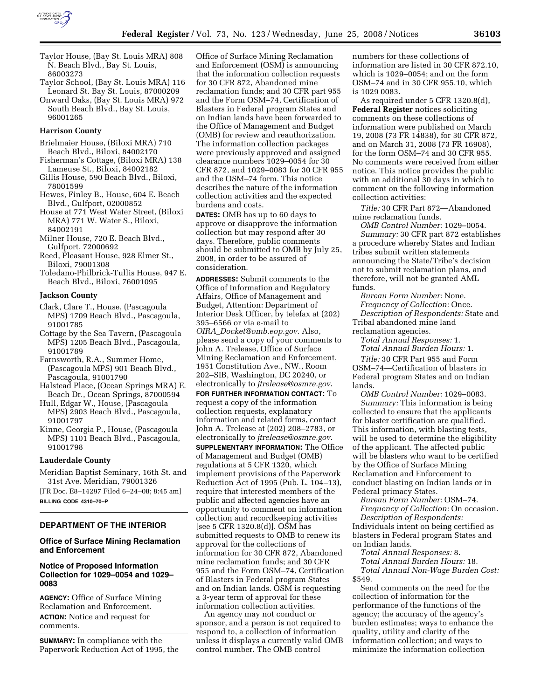

- Taylor House, (Bay St. Louis MRA) 808 N. Beach Blvd., Bay St. Louis, 86003273
- Taylor School, (Bay St. Louis MRA) 116 Leonard St. Bay St. Louis, 87000209
- Onward Oaks, (Bay St. Louis MRA) 972 South Beach Blvd., Bay St. Louis, 96001265

### **Harrison County**

- Brielmaier House, (Biloxi MRA) 710 Beach Blvd., Biloxi, 84002170
- Fisherman's Cottage, (Biloxi MRA) 138 Lameuse St., Biloxi, 84002182
- Gillis House, 590 Beach Blvd., Biloxi, 78001599
- Hewes, Finley B., House, 604 E. Beach Blvd., Gulfport, 02000852
- House at 771 West Water Street, (Biloxi MRA) 771 W. Water S., Biloxi, 84002191
- Milner House, 720 E. Beach Blvd., Gulfport, 72000692
- Reed, Pleasant House, 928 Elmer St., Biloxi, 79001308
- Toledano-Philbrick-Tullis House, 947 E. Beach Blvd., Biloxi, 76001095

### **Jackson County**

- Clark, Clare T., House, (Pascagoula MPS) 1709 Beach Blvd., Pascagoula, 91001785
- Cottage by the Sea Tavern, (Pascagoula MPS) 1205 Beach Blvd., Pascagoula, 91001789
- Farnsworth, R.A., Summer Home, (Pascagoula MPS) 901 Beach Blvd., Pascagoula, 91001790
- Halstead Place, (Ocean Springs MRA) E. Beach Dr., Ocean Springs, 87000594
- Hull, Edgar W., House, (Pascagoula MPS) 2903 Beach Blvd., Pascagoula, 91001797
- Kinne, Georgia P., House, (Pascagoula MPS) 1101 Beach Blvd., Pascagoula, 91001798

## **Lauderdale County**

Meridian Baptist Seminary, 16th St. and 31st Ave. Meridian, 79001326 [FR Doc. E8–14297 Filed 6–24–08; 8:45 am]

**BILLING CODE 4310–70–P** 

# **DEPARTMENT OF THE INTERIOR**

# **Office of Surface Mining Reclamation and Enforcement**

# **Notice of Proposed Information Collection for 1029–0054 and 1029– 0083**

**AGENCY:** Office of Surface Mining Reclamation and Enforcement. **ACTION:** Notice and request for comments.

**SUMMARY:** In compliance with the Paperwork Reduction Act of 1995, the

Office of Surface Mining Reclamation and Enforcement (OSM) is announcing that the information collection requests for 30 CFR 872, Abandoned mine reclamation funds; and 30 CFR part 955 and the Form OSM–74, Certification of Blasters in Federal program States and on Indian lands have been forwarded to the Office of Management and Budget (OMB) for review and reauthorization. The information collection packages were previously approved and assigned clearance numbers 1029–0054 for 30 CFR 872, and 1029–0083 for 30 CFR 955 and the OSM–74 form. This notice describes the nature of the information collection activities and the expected burdens and costs.

**DATES:** OMB has up to 60 days to approve or disapprove the information collection but may respond after 30 days. Therefore, public comments should be submitted to OMB by July 25, 2008, in order to be assured of consideration.

**ADDRESSES:** Submit comments to the Office of Information and Regulatory Affairs, Office of Management and Budget, Attention: Department of Interior Desk Officer, by telefax at (202) 395–6566 or via e-mail to *OIRA*\_*Docket@omb.eop.gov*. Also, please send a copy of your comments to John A. Trelease, Office of Surface Mining Reclamation and Enforcement, 1951 Constitution Ave., NW., Room 202–SIB, Washington, DC 20240, or electronically to *jtrelease@osmre.gov*. **FOR FURTHER INFORMATION CONTACT:** To request a copy of the information collection requests, explanatory information and related forms, contact John A. Trelease at (202) 208–2783, or electronically to *jtrelease@osmre.gov*. **SUPPLEMENTARY INFORMATION:** The Office of Management and Budget (OMB) regulations at 5 CFR 1320, which implement provisions of the Paperwork Reduction Act of 1995 (Pub. L. 104–13), require that interested members of the public and affected agencies have an opportunity to comment on information collection and recordkeeping activities [see 5 CFR 1320.8(d)]. OSM has submitted requests to OMB to renew its approval for the collections of information for 30 CFR 872, Abandoned mine reclamation funds; and 30 CFR 955 and the Form OSM–74, Certification of Blasters in Federal program States and on Indian lands. OSM is requesting a 3-year term of approval for these

information collection activities. An agency may not conduct or sponsor, and a person is not required to respond to, a collection of information unless it displays a currently valid OMB control number. The OMB control

numbers for these collections of information are listed in 30 CFR 872.10, which is 1029–0054; and on the form OSM–74 and in 30 CFR 955.10, which is 1029 0083.

As required under 5 CFR 1320.8(d), **Federal Register** notices soliciting comments on these collections of information were published on March 19, 2008 (73 FR 14838), for 30 CFR 872, and on March 31, 2008 (73 FR 16908), for the form OSM–74 and 30 CFR 955. No comments were received from either notice. This notice provides the public with an additional 30 days in which to comment on the following information collection activities:

*Title:* 30 CFR Part 872—Abandoned mine reclamation funds.

*OMB Control Number:* 1029–0054. *Summary:* 30 CFR part 872 establishes a procedure whereby States and Indian tribes submit written statements announcing the State/Tribe's decision not to submit reclamation plans, and therefore, will not be granted AML funds.

*Bureau Form Number:* None. *Frequency of Collection:* Once. *Description of Respondents:* State and Tribal abandoned mine land reclamation agencies.

*Total Annual Responses:* 1.

*Total Annual Burden Hours:* 1.

*Title:* 30 CFR Part 955 and Form OSM–74—Certification of blasters in Federal program States and on Indian lands.

*OMB Control Number:* 1029–0083. *Summary:* This information is being collected to ensure that the applicants for blaster certification are qualified. This information, with blasting tests, will be used to determine the eligibility of the applicant. The affected public will be blasters who want to be certified by the Office of Surface Mining Reclamation and Enforcement to conduct blasting on Indian lands or in Federal primacy States.

*Bureau Form Number:* OSM–74.

*Frequency of Collection:* On occasion. *Description of Respondents:* 

Individuals intent on being certified as blasters in Federal program States and on Indian lands.

*Total Annual Responses:* 8.

*Total Annual Burden Hours:* 18. *Total Annual Non-Wage Burden Cost:*  \$549.

Send comments on the need for the collection of information for the performance of the functions of the agency; the accuracy of the agency's burden estimates; ways to enhance the quality, utility and clarity of the information collection; and ways to minimize the information collection